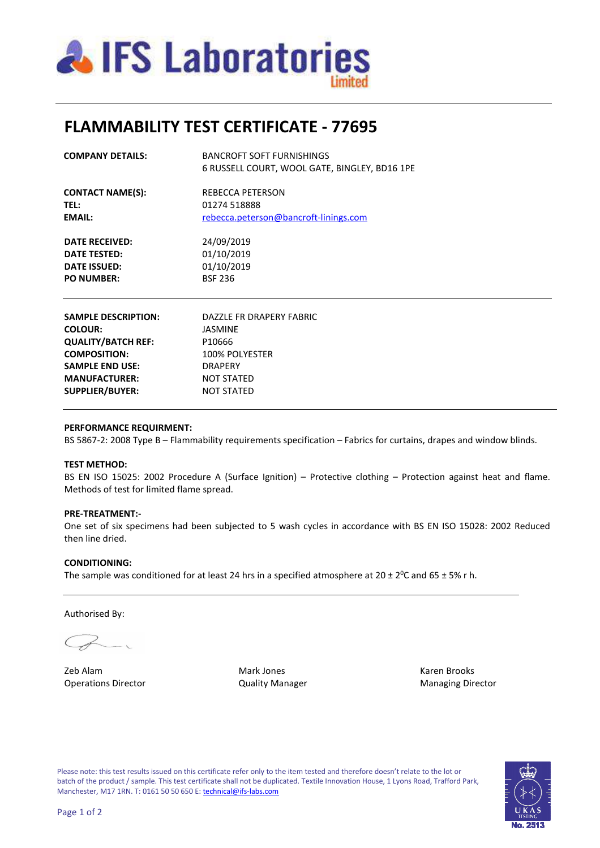

## **FLAMMABILITY TEST CERTIFICATE - 77695**

| <b>COMPANY DETAILS:</b> | <b>BANCROFT SOFT FURNISHINGS</b><br>6 RUSSELL COURT, WOOL GATE, BINGLEY, BD16 1PE |  |  |  |  |  |
|-------------------------|-----------------------------------------------------------------------------------|--|--|--|--|--|
| <b>CONTACT NAME(S):</b> | REBECCA PETERSON<br>01274 518888<br>rebecca.peterson@bancroft-linings.com         |  |  |  |  |  |
| <b>TEL:</b>             |                                                                                   |  |  |  |  |  |
| <b>EMAIL:</b>           |                                                                                   |  |  |  |  |  |
| DATE RECEIVED:          | 24/09/2019                                                                        |  |  |  |  |  |
| DATE TESTED:            | 01/10/2019                                                                        |  |  |  |  |  |
| <b>DATE ISSUED:</b>     | 01/10/2019                                                                        |  |  |  |  |  |
| <b>PO NUMBER:</b>       | <b>BSF 236</b>                                                                    |  |  |  |  |  |

| <b>SAMPLE DESCRIPTION:</b><br><b>COLOUR:</b> | DAZZLE FR DRAPERY FABRIC<br><b>JASMINE</b> |
|----------------------------------------------|--------------------------------------------|
| <b>QUALITY/BATCH REF:</b>                    | P10666                                     |
| <b>COMPOSITION:</b>                          | 100% POLYESTER                             |
| <b>SAMPLE END USE:</b>                       | <b>DRAPFRY</b>                             |
| <b>MANUFACTURER:</b>                         | <b>NOT STATED</b>                          |
| <b>SUPPLIER/BUYER:</b>                       | <b>NOT STATED</b>                          |
|                                              |                                            |

### **PERFORMANCE REQUIRMENT:**

BS 5867-2: 2008 Type B – Flammability requirements specification – Fabrics for curtains, drapes and window blinds.

### **TEST METHOD:**

BS EN ISO 15025: 2002 Procedure A (Surface Ignition) – Protective clothing – Protection against heat and flame. Methods of test for limited flame spread.

### **PRE-TREATMENT:-**

One set of six specimens had been subjected to 5 wash cycles in accordance with BS EN ISO 15028: 2002 Reduced then line dried.

### **CONDITIONING:**

The sample was conditioned for at least 24 hrs in a specified atmosphere at 20  $\pm$  2<sup>0</sup>C and 65  $\pm$  5% r h.

Authorised By:

Zeb Alam Mark Jones Karen Brooks Operations Director **Contains Contains Contains Contains Contains Contains Contains Contains Contains Contains Contains Contains Contains Contains Contains Contains Contains Contains Contains Contains Contains Contains Con** 

Please note: this test results issued on this certificate refer only to the item tested and therefore doesn't relate to the lot or batch of the product / sample. This test certificate shall not be duplicated. Textile Innovation House, 1 Lyons Road, Trafford Park, Manchester, M17 1RN. T: 0161 50 50 650 E: technical@ifs-labs.com